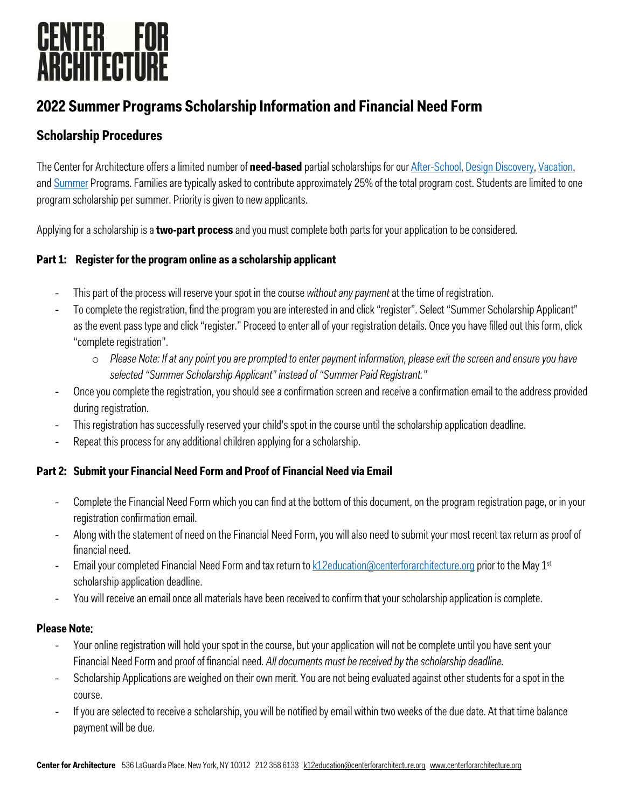# **CENTER FOR<br>ARCHITECTURE**

### **2022 Summer Programs Scholarship Information and Financial Need Form**

### **Scholarship Procedures**

The Center for Architecture offers a limited number of **need-based** partial scholarships for our [After-School,](https://www.centerforarchitecture.org/k-12/youth-family-programs/weekly-after-school-programs/) [Design Discovery,](https://www.centerforarchitecture.org/k-12/teen-programs/design-discovery/) [Vacation,](https://www.centerforarchitecture.org/k-12/youth-family-programs/vacation-programs/)  an[d Summer](https://www.centerforarchitecture.org/k-12/youth-family-programs/summer-programs/) Programs. Families are typically asked to contribute approximately 25% of the total program cost. Students are limited to one program scholarship per summer. Priority is given to new applicants.

Applying for a scholarship is a **two-part process** and you must complete both parts for your application to be considered.

#### **Part 1: Register for the program online as a scholarship applicant**

- This part of the process will reserve your spot in the course *without any payment* at the time of registration.
- To complete the registration, find the program you are interested in and click "register". Select "Summer Scholarship Applicant" as the event pass type and click "register." Proceed to enter all of your registration details. Once you have filled out this form, click "complete registration".
	- o *Please Note: If at any point you are prompted to enter payment information, please exit the screen and ensure you have selected "Summer Scholarship Applicant" instead of "Summer Paid Registrant."*
- Once you complete the registration, you should see a confirmation screen and receive a confirmation email to the address provided during registration.
- This registration has successfully reserved your child's spot in the course until the scholarship application deadline.
- Repeat this process for any additional children applying for a scholarship.

#### **Part 2: Submit your Financial Need Form and Proof of Financial Need via Email**

- Complete the Financial Need Form which you can find at the bottom of this document, on the program registration page, or in your registration confirmation email.
- Along with the statement of need on the Financial Need Form, you will also need to submit your most recent tax return as proof of financial need.
- Email your completed Financial Need Form and tax return t[o k12education@centerforarchitecture.org](mailto:k12education@centerforarchitecture.org) prior to the May 1st scholarship application deadline.
- You will receive an email once all materials have been received to confirm that your scholarship application is complete.

#### **Please Note**:

- Your online registration will hold your spot in the course, but your application will not be complete until you have sent your Financial Need Form and proof of financial need*. All documents must be received by the scholarship deadline.*
- Scholarship Applications are weighed on their own merit. You are not being evaluated against other students for a spot in the course.
- If you are selected to receive a scholarship, you will be notified by email within two weeks of the due date. At that time balance payment will be due.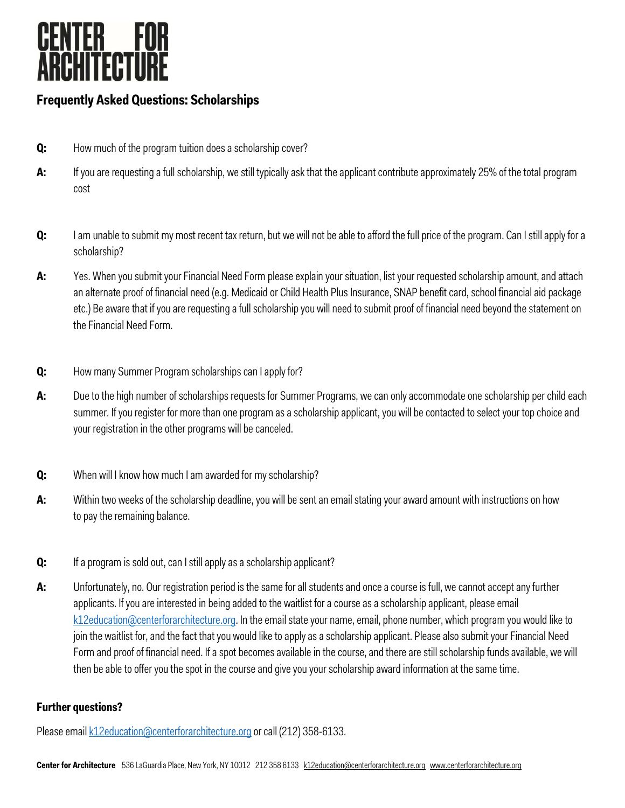

### **Frequently Asked Questions: Scholarships**

- **Q:** How much of the program tuition does a scholarship cover?
- A: If you are requesting a full scholarship, we still typically ask that the applicant contribute approximately 25% of the total program cost
- **Q:** I am unable to submit my most recent tax return, but we will not be able to afford the full price of the program. Can I still apply for a scholarship?
- **A:** Yes. When you submit your Financial Need Form please explain your situation, list your requested scholarship amount, and attach an alternate proof of financial need (e.g. Medicaid or Child Health Plus Insurance, SNAP benefit card, school financial aid package etc.) Be aware that if you are requesting a full scholarship you will need to submit proof of financial need beyond the statement on the Financial Need Form.
- **Q:** How many Summer Program scholarships can I apply for?
- **A:** Due to the high number of scholarships requests for Summer Programs, we can only accommodate one scholarship per child each summer. If you register for more than one program as a scholarship applicant, you will be contacted to select your top choice and your registration in the other programs will be canceled.
- **Q:** When will I know how much I am awarded for my scholarship?
- **A:** Within two weeks of the scholarship deadline, you will be sent an email stating your award amount with instructions on how to pay the remaining balance.
- **Q:** If a program is sold out, can I still apply as a scholarship applicant?
- **A:** Unfortunately, no. Our registration period is the same for all students and once a course is full, we cannot accept any further applicants. If you are interested in being added to the waitlist for a course as a scholarship applicant, please email [k12education@centerforarchitecture.org.](mailto:k12education@centerforarchitecture.org) In the email state your name, email, phone number, which program you would like to join the waitlist for, and the fact that you would like to apply as a scholarship applicant. Please also submit your Financial Need Form and proof of financial need. If a spot becomes available in the course, and there are still scholarship funds available, we will then be able to offer you the spot in the course and give you your scholarship award information at the same time.

#### **Further questions?**

Please emai[l k12education@centerforarchitecture.org](mailto:k12education@centerforarchitecture.org) or call (212) 358-6133.